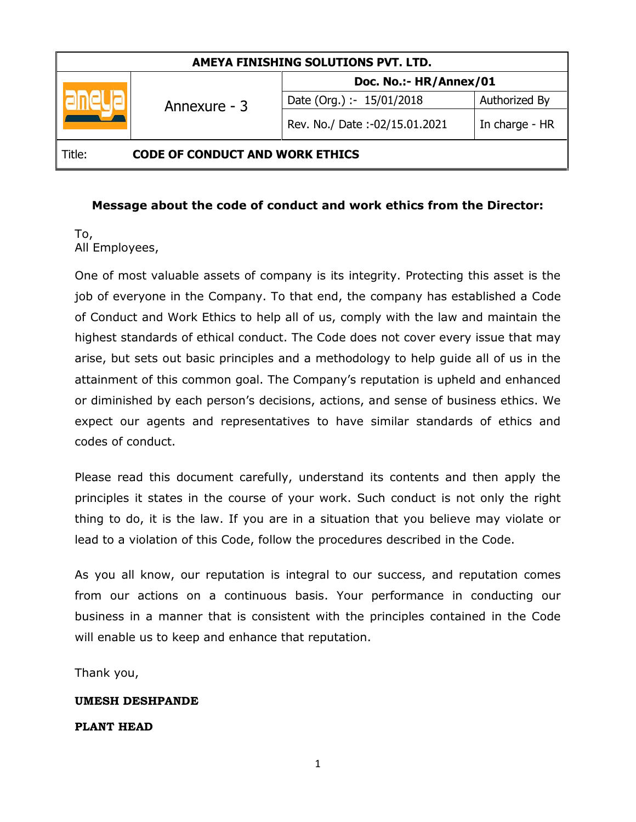| AMEYA FINISHING SOLUTIONS PVT. LTD.              |              |                               |                |
|--------------------------------------------------|--------------|-------------------------------|----------------|
|                                                  | Annexure - 3 | Doc. No.:- HR/Annex/01        |                |
|                                                  |              | Date (Org.) :- 15/01/2018     | Authorized By  |
|                                                  |              | Rev. No./ Date:-02/15.01.2021 | In charge - HR |
| <b>CODE OF CONDUCT AND WORK ETHICS</b><br>Title: |              |                               |                |

#### **Message about the code of conduct and work ethics from the Director:**

#### To, All Employees,

One of most valuable assets of company is its integrity. Protecting this asset is the job of everyone in the Company. To that end, the company has established a Code of Conduct and Work Ethics to help all of us, comply with the law and maintain the highest standards of ethical conduct. The Code does not cover every issue that may arise, but sets out basic principles and a methodology to help guide all of us in the attainment of this common goal. The Company's reputation is upheld and enhanced or diminished by each person's decisions, actions, and sense of business ethics. We expect our agents and representatives to have similar standards of ethics and codes of conduct.

Please read this document carefully, understand its contents and then apply the principles it states in the course of your work. Such conduct is not only the right thing to do, it is the law. If you are in a situation that you believe may violate or lead to a violation of this Code, follow the procedures described in the Code.

As you all know, our reputation is integral to our success, and reputation comes from our actions on a continuous basis. Your performance in conducting our business in a manner that is consistent with the principles contained in the Code will enable us to keep and enhance that reputation.

Thank you,

#### **UMESH DESHPANDE**

#### **PLANT HEAD**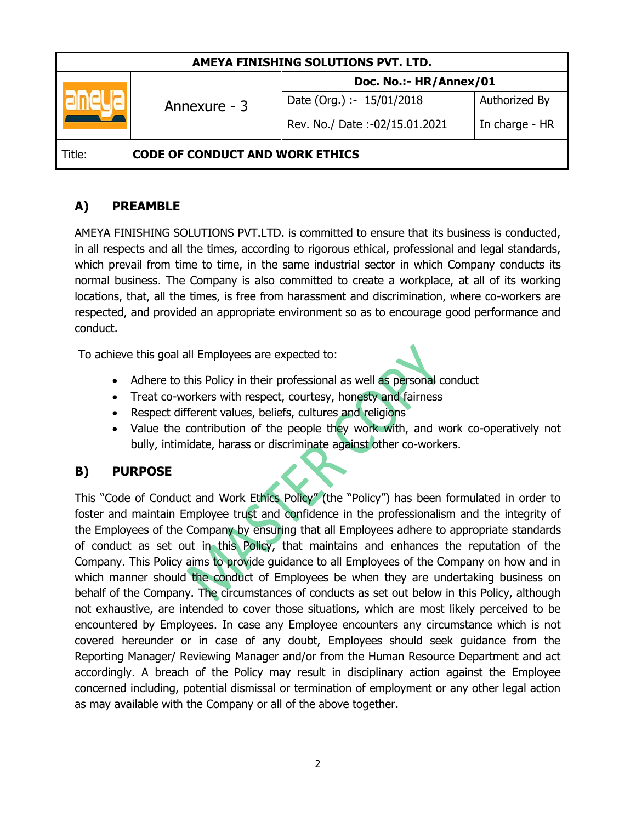| AMEYA FINISHING SOLUTIONS PVT. LTD.              |              |                               |                |
|--------------------------------------------------|--------------|-------------------------------|----------------|
|                                                  | Annexure - 3 | Doc. No.:- HR/Annex/01        |                |
|                                                  |              | Date (Org.) :- 15/01/2018     | Authorized By  |
|                                                  |              | Rev. No./ Date:-02/15.01.2021 | In charge - HR |
| <b>CODE OF CONDUCT AND WORK ETHICS</b><br>Title: |              |                               |                |

# **A) PREAMBLE**

AMEYA FINISHING SOLUTIONS PVT.LTD. is committed to ensure that its business is conducted, in all respects and all the times, according to rigorous ethical, professional and legal standards, which prevail from time to time, in the same industrial sector in which Company conducts its normal business. The Company is also committed to create a workplace, at all of its working locations, that, all the times, is free from harassment and discrimination, where co-workers are respected, and provided an appropriate environment so as to encourage good performance and conduct.

To achieve this goal all Employees are expected to:

- Adhere to this Policy in their professional as well as personal conduct
- Treat co-workers with respect, courtesy, honesty and fairness
- Respect different values, beliefs, cultures and religions
- Value the contribution of the people they work with, and work co-operatively not bully, intimidate, harass or discriminate against other co-workers.

# **B) PURPOSE**

This "Code of Conduct and Work Ethics Policy" (the "Policy") has been formulated in order to foster and maintain Employee trust and confidence in the professionalism and the integrity of the Employees of the Company by ensuring that all Employees adhere to appropriate standards of conduct as set out in this Policy, that maintains and enhances the reputation of the Company. This Policy aims to provide guidance to all Employees of the Company on how and in which manner should the conduct of Employees be when they are undertaking business on behalf of the Company. The circumstances of conducts as set out below in this Policy, although not exhaustive, are intended to cover those situations, which are most likely perceived to be encountered by Employees. In case any Employee encounters any circumstance which is not covered hereunder or in case of any doubt, Employees should seek guidance from the Reporting Manager/ Reviewing Manager and/or from the Human Resource Department and act accordingly. A breach of the Policy may result in disciplinary action against the Employee concerned including, potential dismissal or termination of employment or any other legal action as may available with the Company or all of the above together.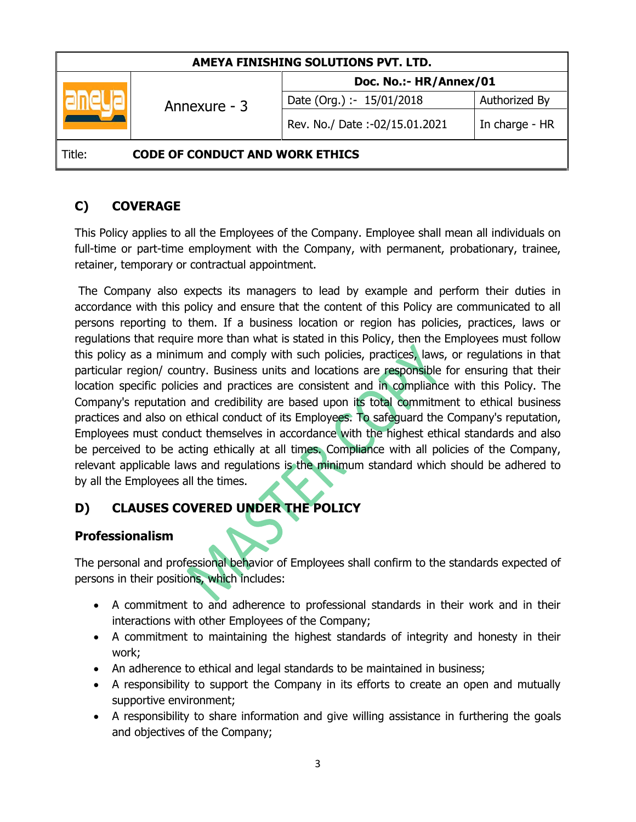| AMEYA FINISHING SOLUTIONS PVT. LTD.              |              |                               |                |
|--------------------------------------------------|--------------|-------------------------------|----------------|
|                                                  | Annexure - 3 | Doc. No.:- HR/Annex/01        |                |
|                                                  |              | Date (Org.) :- 15/01/2018     | Authorized By  |
|                                                  |              | Rev. No./ Date:-02/15.01.2021 | In charge - HR |
| <b>CODE OF CONDUCT AND WORK ETHICS</b><br>Title: |              |                               |                |

# **C) COVERAGE**

This Policy applies to all the Employees of the Company. Employee shall mean all individuals on full-time or part-time employment with the Company, with permanent, probationary, trainee, retainer, temporary or contractual appointment.

The Company also expects its managers to lead by example and perform their duties in accordance with this policy and ensure that the content of this Policy are communicated to all persons reporting to them. If a business location or region has policies, practices, laws or regulations that require more than what is stated in this Policy, then the Employees must follow this policy as a minimum and comply with such policies, practices, laws, or regulations in that particular region/ country. Business units and locations are responsible for ensuring that their location specific policies and practices are consistent and in compliance with this Policy. The Company's reputation and credibility are based upon its total commitment to ethical business practices and also on ethical conduct of its Employees. To safeguard the Company's reputation, Employees must conduct themselves in accordance with the highest ethical standards and also be perceived to be acting ethically at all times. Compliance with all policies of the Company, relevant applicable laws and regulations is the minimum standard which should be adhered to by all the Employees all the times.

# **D) CLAUSES COVERED UNDER THE POLICY**

# **Professionalism**

The personal and professional behavior of Employees shall confirm to the standards expected of persons in their positions, which includes:

- A commitment to and adherence to professional standards in their work and in their interactions with other Employees of the Company;
- A commitment to maintaining the highest standards of integrity and honesty in their work;
- An adherence to ethical and legal standards to be maintained in business;
- A responsibility to support the Company in its efforts to create an open and mutually supportive environment;
- A responsibility to share information and give willing assistance in furthering the goals and objectives of the Company;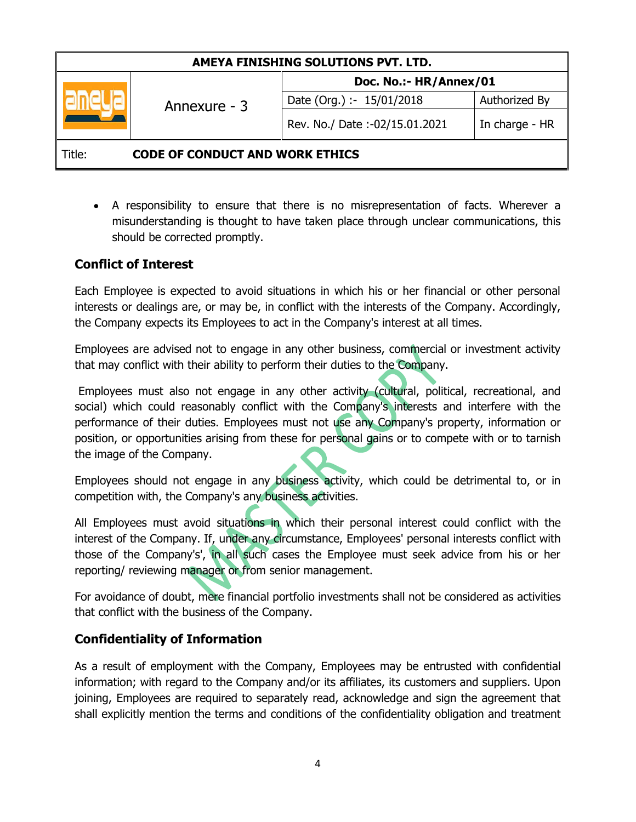| AMEYA FINISHING SOLUTIONS PVT. LTD.              |              |                               |                |
|--------------------------------------------------|--------------|-------------------------------|----------------|
|                                                  | Annexure - 3 | Doc. No.:- HR/Annex/01        |                |
|                                                  |              | Date (Org.) :- 15/01/2018     | Authorized By  |
|                                                  |              | Rev. No./ Date:-02/15.01.2021 | In charge - HR |
| <b>CODE OF CONDUCT AND WORK ETHICS</b><br>Title: |              |                               |                |

 A responsibility to ensure that there is no misrepresentation of facts. Wherever a misunderstanding is thought to have taken place through unclear communications, this should be corrected promptly.

## **Conflict of Interest**

Each Employee is expected to avoid situations in which his or her financial or other personal interests or dealings are, or may be, in conflict with the interests of the Company. Accordingly, the Company expects its Employees to act in the Company's interest at all times.

Employees are advised not to engage in any other business, commercial or investment activity that may conflict with their ability to perform their duties to the Company.

Employees must also not engage in any other activity (cultural, political, recreational, and social) which could reasonably conflict with the Company's interests and interfere with the performance of their duties. Employees must not use any Company's property, information or position, or opportunities arising from these for personal gains or to compete with or to tarnish the image of the Company.

Employees should not engage in any business activity, which could be detrimental to, or in competition with, the Company's any business activities.

All Employees must avoid situations in which their personal interest could conflict with the interest of the Company. If, under any circumstance, Employees' personal interests conflict with those of the Company's', in all such cases the Employee must seek advice from his or her reporting/ reviewing manager or from senior management.

For avoidance of doubt, mere financial portfolio investments shall not be considered as activities that conflict with the business of the Company.

### **Confidentiality of Information**

As a result of employment with the Company, Employees may be entrusted with confidential information; with regard to the Company and/or its affiliates, its customers and suppliers. Upon joining, Employees are required to separately read, acknowledge and sign the agreement that shall explicitly mention the terms and conditions of the confidentiality obligation and treatment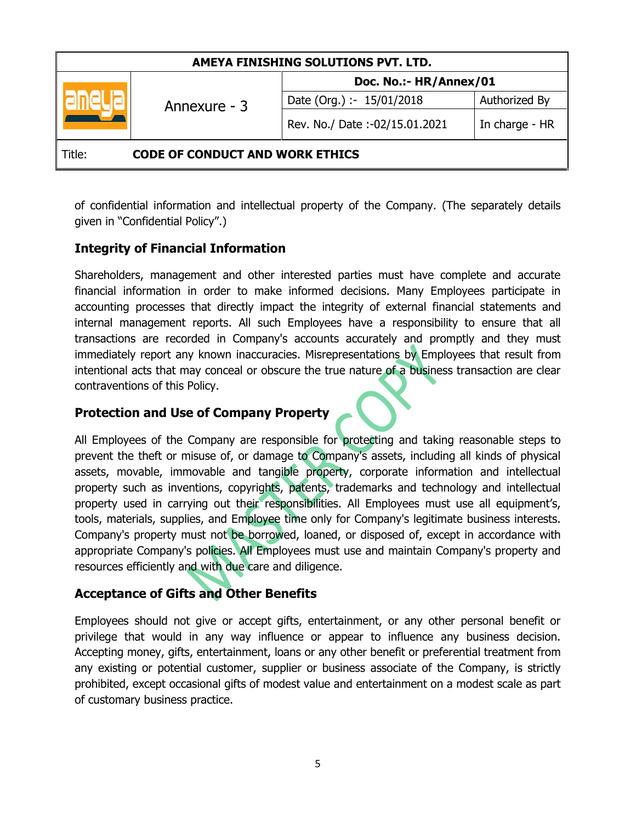| AMEYA FINISHING SOLUTIONS PVT. LTD.              |              |                               |                |
|--------------------------------------------------|--------------|-------------------------------|----------------|
|                                                  | Annexure - 3 | Doc. No.:- HR/Annex/01        |                |
|                                                  |              | Date (Org.) :- 15/01/2018     | Authorized By  |
|                                                  |              | Rev. No./ Date:-02/15.01.2021 | In charge - HR |
| <b>CODE OF CONDUCT AND WORK ETHICS</b><br>Title: |              |                               |                |

of confidential information and intellectual property of the Company. (The separately details given in "Confidential Policy".)

## **Integrity of Financial Information**

Shareholders, management and other interested parties must have complete and accurate financial information in order to make informed decisions. Many Employees participate in accounting processes that directly impact the integrity of external financial statements and internal management reports. All such Employees have a responsibility to ensure that all transactions are recorded in Company's accounts accurately and promptly and they must immediately report any known inaccuracies. Misrepresentations by Employees that result from intentional acts that may conceal or obscure the true nature of a business transaction are clear contraventions of this Policy.

### **Protection and Use of Company Property**

All Employees of the Company are responsible for protecting and taking reasonable steps to prevent the theft or misuse of, or damage to Company's assets, including all kinds of physical assets, movable, immovable and tangible property, corporate information and intellectual property such as inventions, copyrights, patents, trademarks and technology and intellectual property used in carrying out their responsibilities. All Employees must use all equipment's, tools, materials, supplies, and Employee time only for Company's legitimate business interests. Company's property must not be borrowed, loaned, or disposed of, except in accordance with appropriate Company's policies. All Employees must use and maintain Company's property and resources efficiently and with due care and diligence.

### **Acceptance of Gifts and Other Benefits**

Employees should not give or accept gifts, entertainment, or any other personal benefit or privilege that would in any way influence or appear to influence any business decision. Accepting money, gifts, entertainment, loans or any other benefit or preferential treatment from any existing or potential customer, supplier or business associate of the Company, is strictly prohibited, except occasional gifts of modest value and entertainment on a modest scale as part of customary business practice.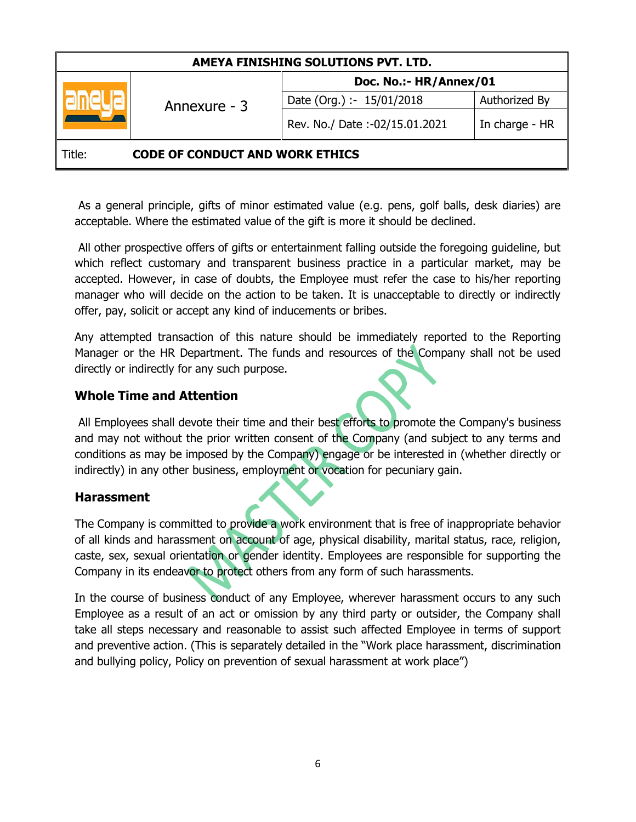| AMEYA FINISHING SOLUTIONS PVT. LTD.              |              |                               |                |
|--------------------------------------------------|--------------|-------------------------------|----------------|
|                                                  | Annexure - 3 | Doc. No.:- HR/Annex/01        |                |
|                                                  |              | Date (Org.) :- 15/01/2018     | Authorized By  |
|                                                  |              | Rev. No./ Date:-02/15.01.2021 | In charge - HR |
| <b>CODE OF CONDUCT AND WORK ETHICS</b><br>Title: |              |                               |                |

As a general principle, gifts of minor estimated value (e.g. pens, golf balls, desk diaries) are acceptable. Where the estimated value of the gift is more it should be declined.

All other prospective offers of gifts or entertainment falling outside the foregoing guideline, but which reflect customary and transparent business practice in a particular market, may be accepted. However, in case of doubts, the Employee must refer the case to his/her reporting manager who will decide on the action to be taken. It is unacceptable to directly or indirectly offer, pay, solicit or accept any kind of inducements or bribes.

Any attempted transaction of this nature should be immediately reported to the Reporting Manager or the HR Department. The funds and resources of the Company shall not be used directly or indirectly for any such purpose.

## **Whole Time and Attention**

All Employees shall devote their time and their best efforts to promote the Company's business and may not without the prior written consent of the Company (and subject to any terms and conditions as may be imposed by the Company) engage or be interested in (whether directly or indirectly) in any other business, employment or vocation for pecuniary gain.

### **Harassment**

The Company is committed to provide a work environment that is free of inappropriate behavior of all kinds and harassment on account of age, physical disability, marital status, race, religion, caste, sex, sexual orientation or gender identity. Employees are responsible for supporting the Company in its endeavor to protect others from any form of such harassments.

In the course of business conduct of any Employee, wherever harassment occurs to any such Employee as a result of an act or omission by any third party or outsider, the Company shall take all steps necessary and reasonable to assist such affected Employee in terms of support and preventive action. (This is separately detailed in the "Work place harassment, discrimination and bullying policy, Policy on prevention of sexual harassment at work place")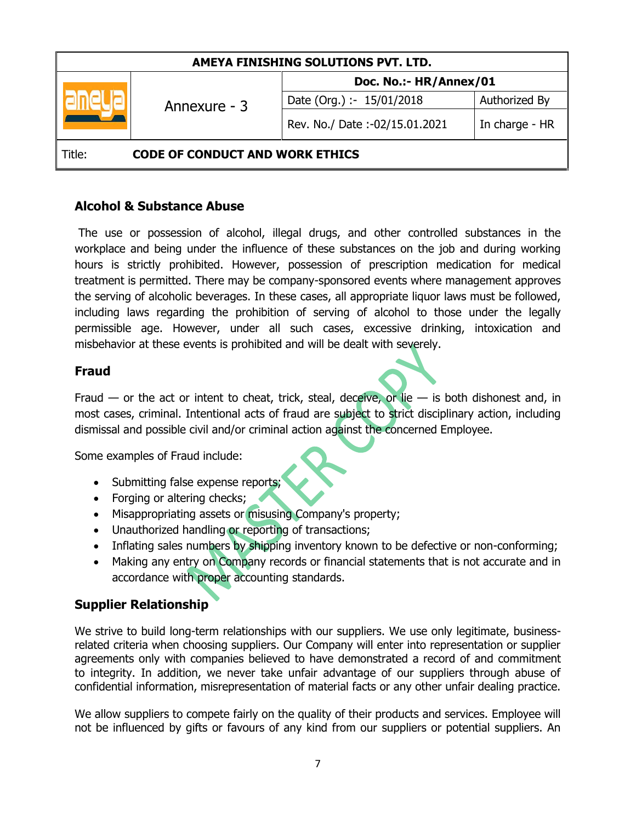| AMEYA FINISHING SOLUTIONS PVT. LTD.              |              |                               |                |
|--------------------------------------------------|--------------|-------------------------------|----------------|
|                                                  | Annexure - 3 | Doc. No.:- HR/Annex/01        |                |
|                                                  |              | Date (Org.) :- 15/01/2018     | Authorized By  |
|                                                  |              | Rev. No./ Date:-02/15.01.2021 | In charge - HR |
| <b>CODE OF CONDUCT AND WORK ETHICS</b><br>Title: |              |                               |                |

#### **Alcohol & Substance Abuse**

The use or possession of alcohol, illegal drugs, and other controlled substances in the workplace and being under the influence of these substances on the job and during working hours is strictly prohibited. However, possession of prescription medication for medical treatment is permitted. There may be company-sponsored events where management approves the serving of alcoholic beverages. In these cases, all appropriate liquor laws must be followed, including laws regarding the prohibition of serving of alcohol to those under the legally permissible age. However, under all such cases, excessive drinking, intoxication and misbehavior at these events is prohibited and will be dealt with severely.

### **Fraud**

Fraud  $-$  or the act or intent to cheat, trick, steal, deceive, or lie  $-$  is both dishonest and, in most cases, criminal. Intentional acts of fraud are subject to strict disciplinary action, including dismissal and possible civil and/or criminal action against the concerned Employee.

Some examples of Fraud include:

- Submitting false expense reports;
- Forging or altering checks;
- Misappropriating assets or misusing Company's property;
- Unauthorized handling or reporting of transactions;
- Inflating sales numbers by shipping inventory known to be defective or non-conforming;
- Making any entry on Company records or financial statements that is not accurate and in accordance with proper accounting standards.

# **Supplier Relationship**

We strive to build long-term relationships with our suppliers. We use only legitimate, businessrelated criteria when choosing suppliers. Our Company will enter into representation or supplier agreements only with companies believed to have demonstrated a record of and commitment to integrity. In addition, we never take unfair advantage of our suppliers through abuse of confidential information, misrepresentation of material facts or any other unfair dealing practice.

We allow suppliers to compete fairly on the quality of their products and services. Employee will not be influenced by gifts or favours of any kind from our suppliers or potential suppliers. An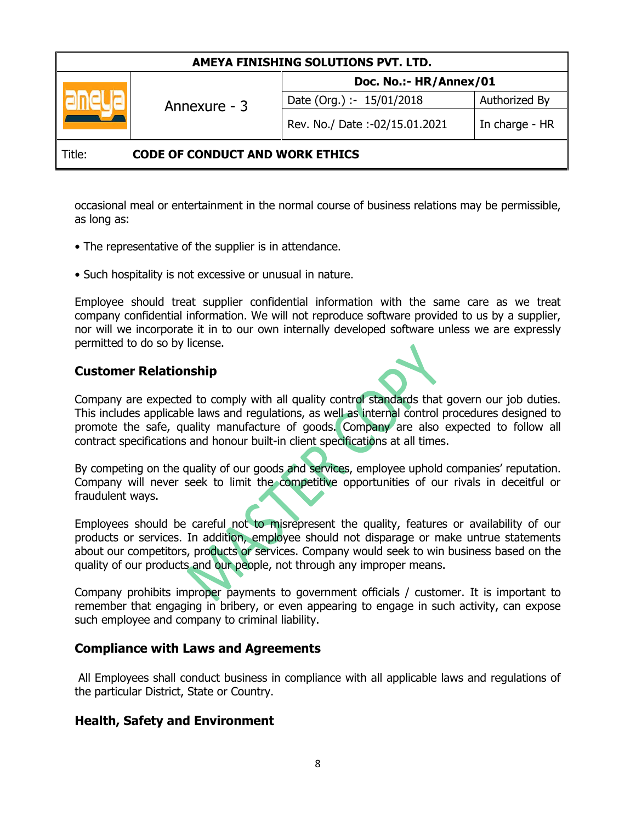| AMEYA FINISHING SOLUTIONS PVT. LTD.              |              |                               |                |
|--------------------------------------------------|--------------|-------------------------------|----------------|
|                                                  | Annexure - 3 | Doc. No.:- HR/Annex/01        |                |
|                                                  |              | Date (Org.) :- 15/01/2018     | Authorized By  |
|                                                  |              | Rev. No./ Date:-02/15.01.2021 | In charge - HR |
| <b>CODE OF CONDUCT AND WORK ETHICS</b><br>Title: |              |                               |                |

occasional meal or entertainment in the normal course of business relations may be permissible, as long as:

- The representative of the supplier is in attendance.
- Such hospitality is not excessive or unusual in nature.

Employee should treat supplier confidential information with the same care as we treat company confidential information. We will not reproduce software provided to us by a supplier, nor will we incorporate it in to our own internally developed software unless we are expressly permitted to do so by license.

#### **Customer Relationship**

Company are expected to comply with all quality control standards that govern our job duties. This includes applicable laws and regulations, as well as internal control procedures designed to promote the safe, quality manufacture of goods. Company are also expected to follow all contract specifications and honour built-in client specifications at all times.

By competing on the quality of our goods and services, employee uphold companies' reputation. Company will never seek to limit the competitive opportunities of our rivals in deceitful or fraudulent ways.

Employees should be careful not to misrepresent the quality, features or availability of our products or services. In addition, employee should not disparage or make untrue statements about our competitors, products or services. Company would seek to win business based on the quality of our products and our people, not through any improper means.

Company prohibits improper payments to government officials / customer. It is important to remember that engaging in bribery, or even appearing to engage in such activity, can expose such employee and company to criminal liability.

#### **Compliance with Laws and Agreements**

All Employees shall conduct business in compliance with all applicable laws and regulations of the particular District, State or Country.

#### **Health, Safety and Environment**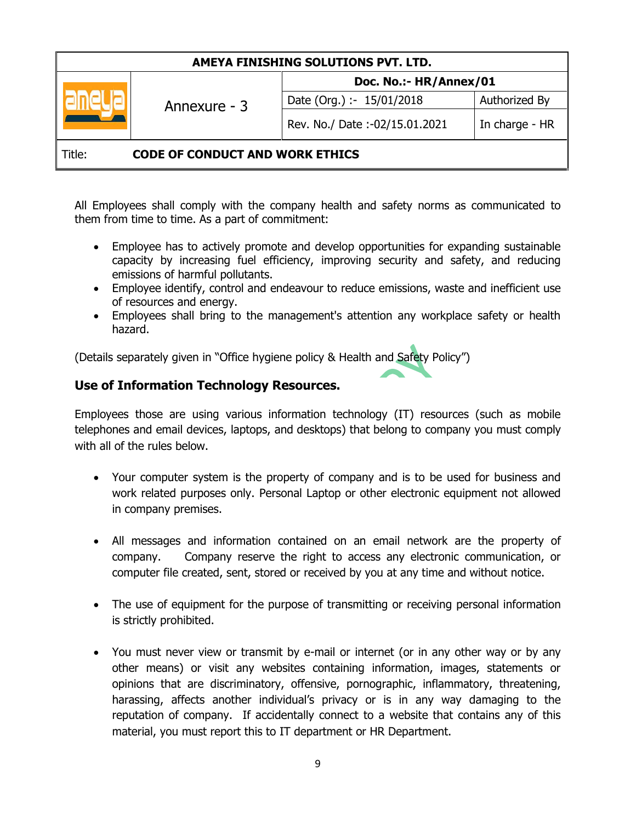| AMEYA FINISHING SOLUTIONS PVT. LTD.              |              |                               |                |
|--------------------------------------------------|--------------|-------------------------------|----------------|
|                                                  | Annexure - 3 | Doc. No.:- HR/Annex/01        |                |
|                                                  |              | Date (Org.) :- 15/01/2018     | Authorized By  |
|                                                  |              | Rev. No./ Date:-02/15.01.2021 | In charge - HR |
| <b>CODE OF CONDUCT AND WORK ETHICS</b><br>Title: |              |                               |                |

All Employees shall comply with the company health and safety norms as communicated to them from time to time. As a part of commitment:

- Employee has to actively promote and develop opportunities for expanding sustainable capacity by increasing fuel efficiency, improving security and safety, and reducing emissions of harmful pollutants.
- Employee identify, control and endeavour to reduce emissions, waste and inefficient use of resources and energy.
- Employees shall bring to the management's attention any workplace safety or health hazard.

(Details separately given in "Office hygiene policy & Health and Safety Policy")

## **Use of Information Technology Resources.**

Employees those are using various information technology (IT) resources (such as mobile telephones and email devices, laptops, and desktops) that belong to company you must comply with all of the rules below.

- Your computer system is the property of company and is to be used for business and work related purposes only. Personal Laptop or other electronic equipment not allowed in company premises.
- All messages and information contained on an email network are the property of company. Company reserve the right to access any electronic communication, or computer file created, sent, stored or received by you at any time and without notice.
- The use of equipment for the purpose of transmitting or receiving personal information is strictly prohibited.
- You must never view or transmit by e-mail or internet (or in any other way or by any other means) or visit any websites containing information, images, statements or opinions that are discriminatory, offensive, pornographic, inflammatory, threatening, harassing, affects another individual's privacy or is in any way damaging to the reputation of company. If accidentally connect to a website that contains any of this material, you must report this to IT department or HR Department.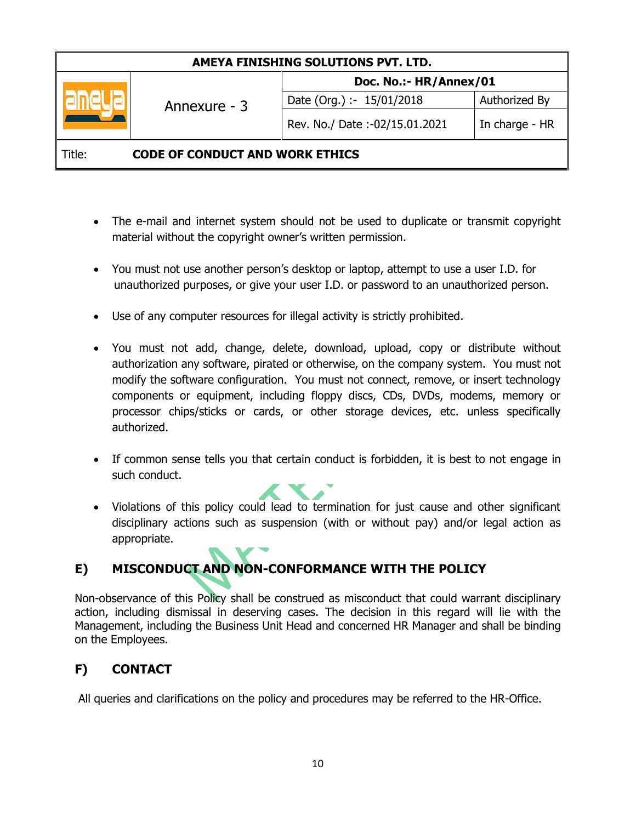| AMEYA FINISHING SOLUTIONS PVT. LTD.              |              |                               |                |
|--------------------------------------------------|--------------|-------------------------------|----------------|
|                                                  | Annexure - 3 | Doc. No.:- HR/Annex/01        |                |
|                                                  |              | Date (Org.) :- 15/01/2018     | Authorized By  |
|                                                  |              | Rev. No./ Date:-02/15.01.2021 | In charge - HR |
| <b>CODE OF CONDUCT AND WORK ETHICS</b><br>Title: |              |                               |                |

- The e-mail and internet system should not be used to duplicate or transmit copyright material without the copyright owner's written permission.
- You must not use another person's desktop or laptop, attempt to use a user I.D. for unauthorized purposes, or give your user I.D. or password to an unauthorized person.
- Use of any computer resources for illegal activity is strictly prohibited.
- You must not add, change, delete, download, upload, copy or distribute without authorization any software, pirated or otherwise, on the company system. You must not modify the software configuration. You must not connect, remove, or insert technology components or equipment, including floppy discs, CDs, DVDs, modems, memory or processor chips/sticks or cards, or other storage devices, etc. unless specifically authorized.
- If common sense tells you that certain conduct is forbidden, it is best to not engage in such conduct.
- Violations of this policy could lead to termination for just cause and other significant disciplinary actions such as suspension (with or without pay) and/or legal action as appropriate.

# **E) MISCONDUCT AND NON-CONFORMANCE WITH THE POLICY**

Non-observance of this Policy shall be construed as misconduct that could warrant disciplinary action, including dismissal in deserving cases. The decision in this regard will lie with the Management, including the Business Unit Head and concerned HR Manager and shall be binding on the Employees.

# **F) CONTACT**

All queries and clarifications on the policy and procedures may be referred to the HR-Office.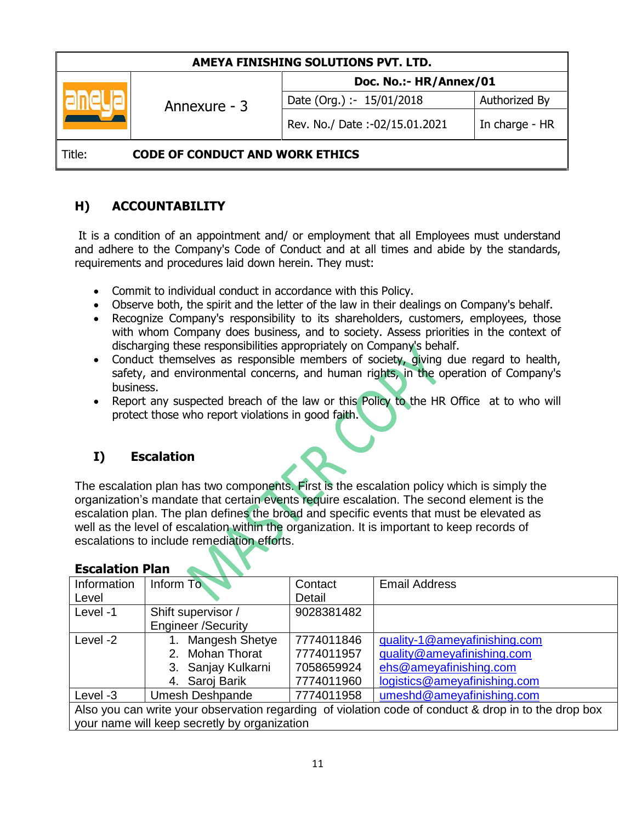| AMEYA FINISHING SOLUTIONS PVT. LTD.              |              |                               |                |
|--------------------------------------------------|--------------|-------------------------------|----------------|
|                                                  | Annexure - 3 | Doc. No.:- HR/Annex/01        |                |
|                                                  |              | Date (Org.) :- 15/01/2018     | Authorized By  |
|                                                  |              | Rev. No./ Date:-02/15.01.2021 | In charge - HR |
| <b>CODE OF CONDUCT AND WORK ETHICS</b><br>Title: |              |                               |                |

# **H) ACCOUNTABILITY**

It is a condition of an appointment and/ or employment that all Employees must understand and adhere to the Company's Code of Conduct and at all times and abide by the standards, requirements and procedures laid down herein. They must:

- Commit to individual conduct in accordance with this Policy.
- Observe both, the spirit and the letter of the law in their dealings on Company's behalf.
- Recognize Company's responsibility to its shareholders, customers, employees, those with whom Company does business, and to society. Assess priorities in the context of discharging these responsibilities appropriately on Company's behalf.
- Conduct themselves as responsible members of society, giving due regard to health, safety, and environmental concerns, and human rights, in the operation of Company's business.
- Report any suspected breach of the law or this Policy to the HR Office at to who will protect those who report violations in good faith.

# **I) Escalation**

The escalation plan has two components. First is the escalation policy which is simply the organization's mandate that certain events require escalation. The second element is the escalation plan. The plan defines the broad and specific events that must be elevated as well as the level of escalation within the organization. It is important to keep records of escalations to include remediation efforts.

| Information                                                                                          | Inform To                 | Contact    | <b>Email Address</b>         |
|------------------------------------------------------------------------------------------------------|---------------------------|------------|------------------------------|
| Level                                                                                                |                           | Detail     |                              |
| Level -1                                                                                             | Shift supervisor /        | 9028381482 |                              |
|                                                                                                      | <b>Engineer /Security</b> |            |                              |
| Level -2                                                                                             | Mangesh Shetye            | 7774011846 | guality-1@ameyafinishing.com |
|                                                                                                      | 2. Mohan Thorat           | 7774011957 | quality@ameyafinishing.com   |
|                                                                                                      | 3. Sanjay Kulkarni        | 7058659924 | ehs@ameyafinishing.com       |
|                                                                                                      | 4. Saroj Barik            | 7774011960 | logistics@ameyafinishing.com |
| Level -3                                                                                             | <b>Umesh Deshpande</b>    | 7774011958 | umeshd@ameyafinishing.com    |
| Also you can write your observation regarding of violation code of conduct & drop in to the drop box |                           |            |                              |
| your name will keep secretly by organization                                                         |                           |            |                              |

#### **Escalation Plan**